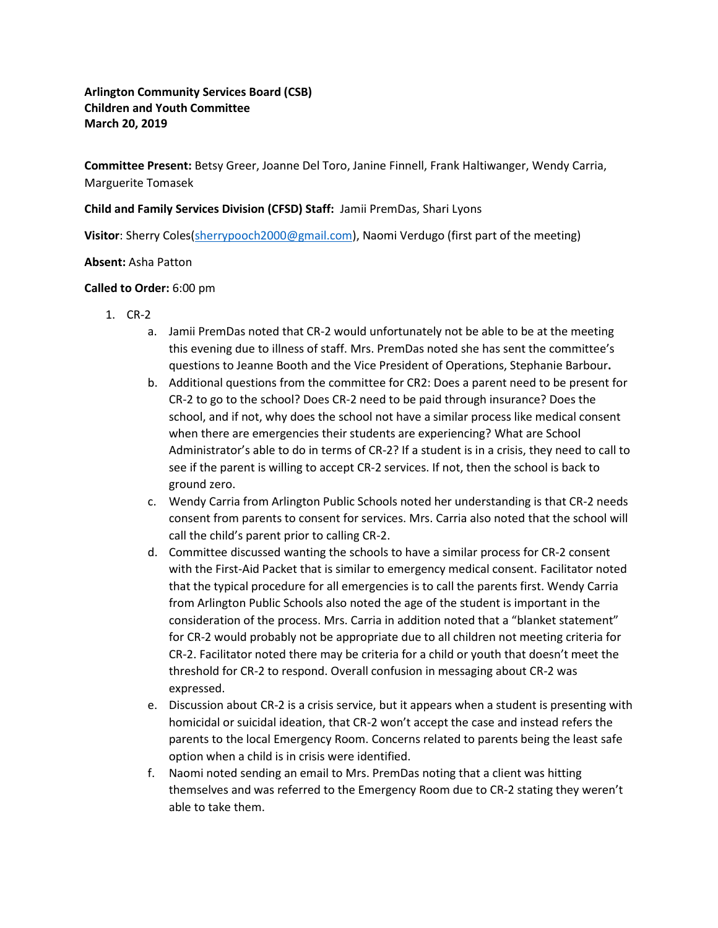# **Arlington Community Services Board (CSB) Children and Youth Committee March 20, 2019**

**Committee Present:** Betsy Greer, Joanne Del Toro, Janine Finnell, Frank Haltiwanger, Wendy Carria, Marguerite Tomasek

## **Child and Family Services Division (CFSD) Staff:** Jamii PremDas, Shari Lyons

**Visitor**: Sherry Coles[\(sherrypooch2000@gmail.com\)](mailto:sherrypooch2000@gmail.com), Naomi Verdugo (first part of the meeting)

### **Absent:** Asha Patton

### **Called to Order:** 6:00 pm

- 1. CR-2
	- a. Jamii PremDas noted that CR-2 would unfortunately not be able to be at the meeting this evening due to illness of staff. Mrs. PremDas noted she has sent the committee's questions to Jeanne Booth and the Vice President of Operations, Stephanie Barbour**.**
	- b. Additional questions from the committee for CR2: Does a parent need to be present for CR-2 to go to the school? Does CR-2 need to be paid through insurance? Does the school, and if not, why does the school not have a similar process like medical consent when there are emergencies their students are experiencing? What are School Administrator's able to do in terms of CR-2? If a student is in a crisis, they need to call to see if the parent is willing to accept CR-2 services. If not, then the school is back to ground zero.
	- c. Wendy Carria from Arlington Public Schools noted her understanding is that CR-2 needs consent from parents to consent for services. Mrs. Carria also noted that the school will call the child's parent prior to calling CR-2.
	- d. Committee discussed wanting the schools to have a similar process for CR-2 consent with the First-Aid Packet that is similar to emergency medical consent. Facilitator noted that the typical procedure for all emergencies is to call the parents first. Wendy Carria from Arlington Public Schools also noted the age of the student is important in the consideration of the process. Mrs. Carria in addition noted that a "blanket statement" for CR-2 would probably not be appropriate due to all children not meeting criteria for CR-2. Facilitator noted there may be criteria for a child or youth that doesn't meet the threshold for CR-2 to respond. Overall confusion in messaging about CR-2 was expressed.
	- e. Discussion about CR-2 is a crisis service, but it appears when a student is presenting with homicidal or suicidal ideation, that CR-2 won't accept the case and instead refers the parents to the local Emergency Room. Concerns related to parents being the least safe option when a child is in crisis were identified.
	- f. Naomi noted sending an email to Mrs. PremDas noting that a client was hitting themselves and was referred to the Emergency Room due to CR-2 stating they weren't able to take them.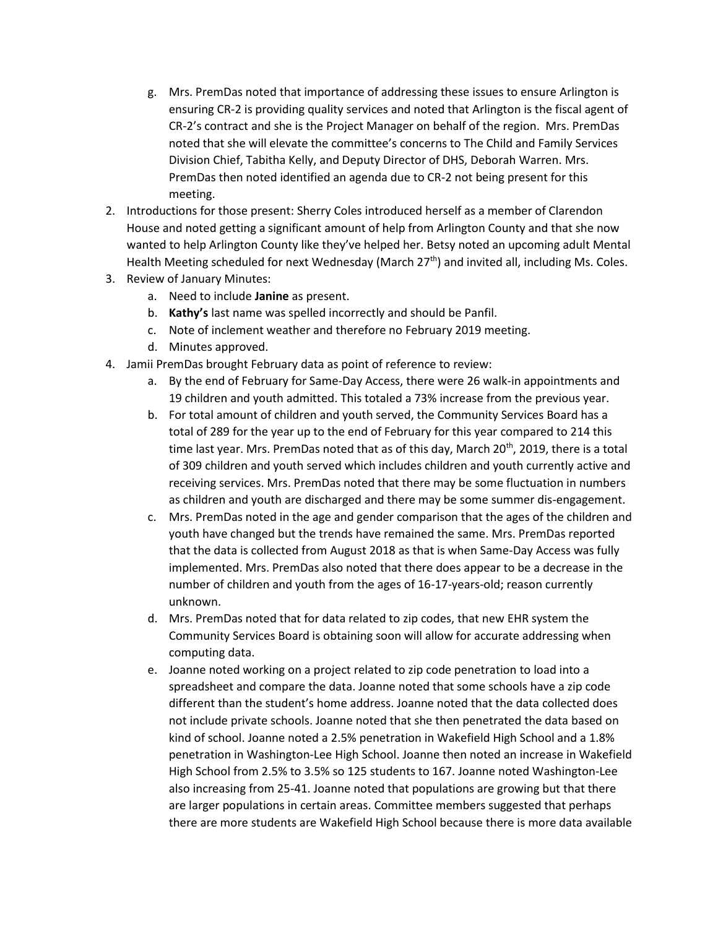- g. Mrs. PremDas noted that importance of addressing these issues to ensure Arlington is ensuring CR-2 is providing quality services and noted that Arlington is the fiscal agent of CR-2's contract and she is the Project Manager on behalf of the region. Mrs. PremDas noted that she will elevate the committee's concerns to The Child and Family Services Division Chief, Tabitha Kelly, and Deputy Director of DHS, Deborah Warren. Mrs. PremDas then noted identified an agenda due to CR-2 not being present for this meeting.
- 2. Introductions for those present: Sherry Coles introduced herself as a member of Clarendon House and noted getting a significant amount of help from Arlington County and that she now wanted to help Arlington County like they've helped her. Betsy noted an upcoming adult Mental Health Meeting scheduled for next Wednesday (March  $27<sup>th</sup>$ ) and invited all, including Ms. Coles.
- 3. Review of January Minutes:
	- a. Need to include **Janine** as present.
	- b. **Kathy's** last name was spelled incorrectly and should be Panfil.
	- c. Note of inclement weather and therefore no February 2019 meeting.
	- d. Minutes approved.
- 4. Jamii PremDas brought February data as point of reference to review:
	- a. By the end of February for Same-Day Access, there were 26 walk-in appointments and 19 children and youth admitted. This totaled a 73% increase from the previous year.
	- b. For total amount of children and youth served, the Community Services Board has a total of 289 for the year up to the end of February for this year compared to 214 this time last year. Mrs. PremDas noted that as of this day, March  $20<sup>th</sup>$ , 2019, there is a total of 309 children and youth served which includes children and youth currently active and receiving services. Mrs. PremDas noted that there may be some fluctuation in numbers as children and youth are discharged and there may be some summer dis-engagement.
	- c. Mrs. PremDas noted in the age and gender comparison that the ages of the children and youth have changed but the trends have remained the same. Mrs. PremDas reported that the data is collected from August 2018 as that is when Same-Day Access was fully implemented. Mrs. PremDas also noted that there does appear to be a decrease in the number of children and youth from the ages of 16-17-years-old; reason currently unknown.
	- d. Mrs. PremDas noted that for data related to zip codes, that new EHR system the Community Services Board is obtaining soon will allow for accurate addressing when computing data.
	- e. Joanne noted working on a project related to zip code penetration to load into a spreadsheet and compare the data. Joanne noted that some schools have a zip code different than the student's home address. Joanne noted that the data collected does not include private schools. Joanne noted that she then penetrated the data based on kind of school. Joanne noted a 2.5% penetration in Wakefield High School and a 1.8% penetration in Washington-Lee High School. Joanne then noted an increase in Wakefield High School from 2.5% to 3.5% so 125 students to 167. Joanne noted Washington-Lee also increasing from 25-41. Joanne noted that populations are growing but that there are larger populations in certain areas. Committee members suggested that perhaps there are more students are Wakefield High School because there is more data available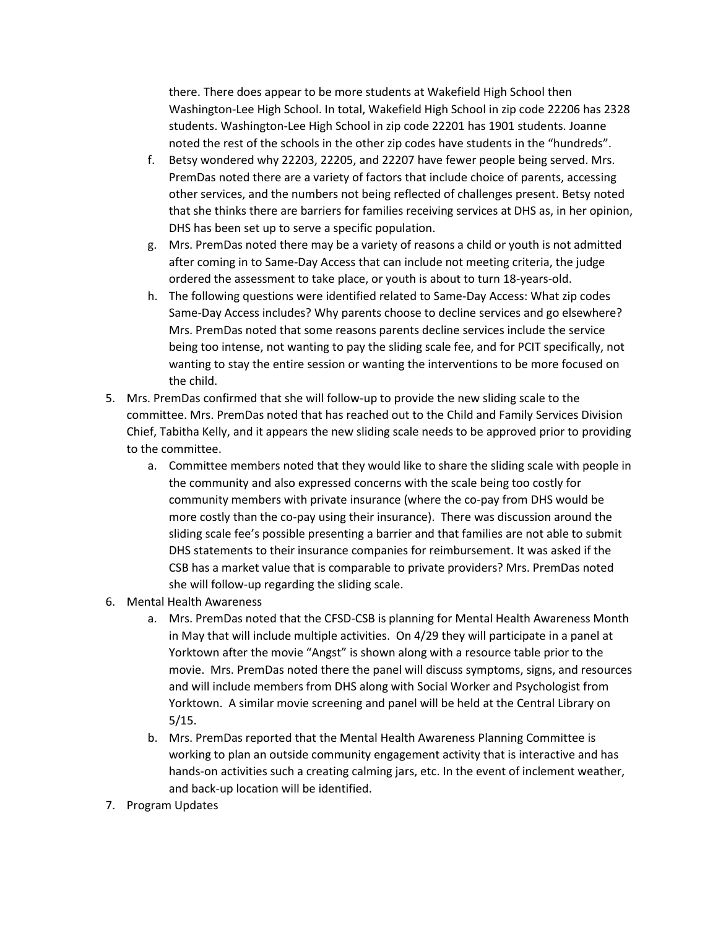there. There does appear to be more students at Wakefield High School then Washington-Lee High School. In total, Wakefield High School in zip code 22206 has 2328 students. Washington-Lee High School in zip code 22201 has 1901 students. Joanne noted the rest of the schools in the other zip codes have students in the "hundreds".

- f. Betsy wondered why 22203, 22205, and 22207 have fewer people being served. Mrs. PremDas noted there are a variety of factors that include choice of parents, accessing other services, and the numbers not being reflected of challenges present. Betsy noted that she thinks there are barriers for families receiving services at DHS as, in her opinion, DHS has been set up to serve a specific population.
- g. Mrs. PremDas noted there may be a variety of reasons a child or youth is not admitted after coming in to Same-Day Access that can include not meeting criteria, the judge ordered the assessment to take place, or youth is about to turn 18-years-old.
- h. The following questions were identified related to Same-Day Access: What zip codes Same-Day Access includes? Why parents choose to decline services and go elsewhere? Mrs. PremDas noted that some reasons parents decline services include the service being too intense, not wanting to pay the sliding scale fee, and for PCIT specifically, not wanting to stay the entire session or wanting the interventions to be more focused on the child.
- 5. Mrs. PremDas confirmed that she will follow-up to provide the new sliding scale to the committee. Mrs. PremDas noted that has reached out to the Child and Family Services Division Chief, Tabitha Kelly, and it appears the new sliding scale needs to be approved prior to providing to the committee.
	- a. Committee members noted that they would like to share the sliding scale with people in the community and also expressed concerns with the scale being too costly for community members with private insurance (where the co-pay from DHS would be more costly than the co-pay using their insurance). There was discussion around the sliding scale fee's possible presenting a barrier and that families are not able to submit DHS statements to their insurance companies for reimbursement. It was asked if the CSB has a market value that is comparable to private providers? Mrs. PremDas noted she will follow-up regarding the sliding scale.
- 6. Mental Health Awareness
	- a. Mrs. PremDas noted that the CFSD-CSB is planning for Mental Health Awareness Month in May that will include multiple activities. On 4/29 they will participate in a panel at Yorktown after the movie "Angst" is shown along with a resource table prior to the movie. Mrs. PremDas noted there the panel will discuss symptoms, signs, and resources and will include members from DHS along with Social Worker and Psychologist from Yorktown. A similar movie screening and panel will be held at the Central Library on 5/15.
	- b. Mrs. PremDas reported that the Mental Health Awareness Planning Committee is working to plan an outside community engagement activity that is interactive and has hands-on activities such a creating calming jars, etc. In the event of inclement weather, and back-up location will be identified.
- 7. Program Updates